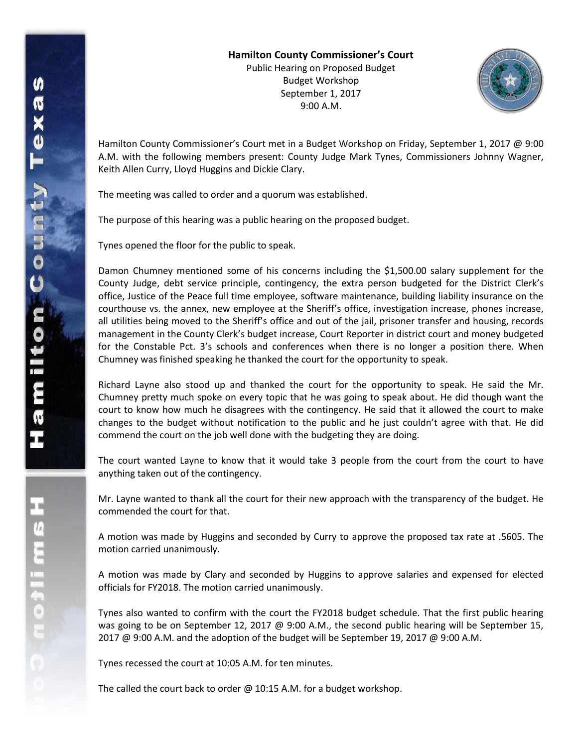Public Hearing on Proposed Budget Budget Workshop September 1, 2017 9:00 A.M.



Hamilton County Commissioner's Court met in a Budget Workshop on Friday, September 1, 2017 @ 9:00 A.M. with the following members present: County Judge Mark Tynes, Commissioners Johnny Wagner, Keith Allen Curry, Lloyd Huggins and Dickie Clary.

The meeting was called to order and a quorum was established.

The purpose of this hearing was a public hearing on the proposed budget.

Tynes opened the floor for the public to speak.

Damon Chumney mentioned some of his concerns including the \$1,500.00 salary supplement for the County Judge, debt service principle, contingency, the extra person budgeted for the District Clerk's office, Justice of the Peace full time employee, software maintenance, building liability insurance on the courthouse vs. the annex, new employee at the Sheriff's office, investigation increase, phones increase, all utilities being moved to the Sheriff's office and out of the jail, prisoner transfer and housing, records management in the County Clerk's budget increase, Court Reporter in district court and money budgeted for the Constable Pct. 3's schools and conferences when there is no longer a position there. When Chumney was finished speaking he thanked the court for the opportunity to speak.

Richard Layne also stood up and thanked the court for the opportunity to speak. He said the Mr. Chumney pretty much spoke on every topic that he was going to speak about. He did though want the court to know how much he disagrees with the contingency. He said that it allowed the court to make changes to the budget without notification to the public and he just couldn't agree with that. He did commend the court on the job well done with the budgeting they are doing.

The court wanted Layne to know that it would take 3 people from the court from the court to have anything taken out of the contingency.

Mr. Layne wanted to thank all the court for their new approach with the transparency of the budget. He commended the court for that.

A motion was made by Huggins and seconded by Curry to approve the proposed tax rate at .5605. The motion carried unanimously.

A motion was made by Clary and seconded by Huggins to approve salaries and expensed for elected officials for FY2018. The motion carried unanimously.

Tynes also wanted to confirm with the court the FY2018 budget schedule. That the first public hearing was going to be on September 12, 2017 @ 9:00 A.M., the second public hearing will be September 15, 2017 @ 9:00 A.M. and the adoption of the budget will be September 19, 2017 @ 9:00 A.M.

Tynes recessed the court at 10:05 A.M. for ten minutes.

The called the court back to order @ 10:15 A.M. for a budget workshop.

エムミニャウェ